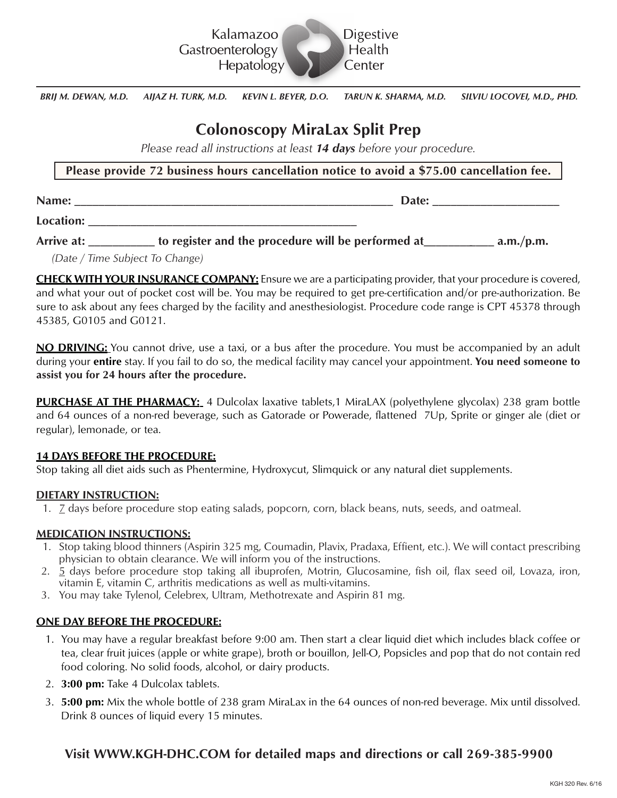

*BRIJ M. DEWAN, M.D. AIJAZ H. TURK, M.D. KEVIN L. BEYER, D.O. TARUN K. SHARMA, M.D. SILVIU LOCOVEI, M.D., PHD.*

# **Colonoscopy MiraLax Split Prep**

*Please read all instructions at least 14 days before your procedure.*

## **Please provide 72 business hours cancellation notice to avoid a \$75.00 cancellation fee.**

**Name:** \_\_\_\_\_\_\_\_\_\_\_\_\_\_\_\_\_\_\_\_\_\_\_\_\_\_\_\_\_\_\_\_\_\_\_\_\_\_\_\_\_\_\_\_\_\_\_\_\_\_\_\_ **Date:** \_\_\_\_\_\_\_\_\_\_\_\_\_\_\_\_\_\_\_\_\_

**Location:** \_\_\_\_\_\_\_\_\_\_\_\_\_\_\_\_\_\_\_\_\_\_\_\_\_\_\_\_\_\_\_\_\_\_\_\_\_\_\_\_\_\_\_\_

Arrive at: **to register and the procedure will be performed at** a.m./p.m.

 *(Date / Time Subject To Change)*

**CHECK WITH YOUR INSURANCE COMPANY:** Ensure we are a participating provider, that your procedure is covered, and what your out of pocket cost will be. You may be required to get pre-certification and/or pre-authorization. Be sure to ask about any fees charged by the facility and anesthesiologist. Procedure code range is CPT 45378 through 45385, G0105 and G0121.

**NO DRIVING:** You cannot drive, use a taxi, or a bus after the procedure. You must be accompanied by an adult during your **entire** stay. If you fail to do so, the medical facility may cancel your appointment. **You need someone to assist you for 24 hours after the procedure.**

**PURCHASE AT THE PHARMACY:** 4 Dulcolax laxative tablets,1 MiraLAX (polyethylene glycolax) 238 gram bottle and 64 ounces of a non-red beverage, such as Gatorade or Powerade, flattened 7Up, Sprite or ginger ale (diet or regular), lemonade, or tea.

#### **14 DAYS BEFORE THE PROCEDURE:**

Stop taking all diet aids such as Phentermine, Hydroxycut, Slimquick or any natural diet supplements.

## **DIETARY INSTRUCTION:**

1.  $Z$  days before procedure stop eating salads, popcorn, corn, black beans, nuts, seeds, and oatmeal.

#### **MEDICATION INSTRUCTIONS:**

- 1. Stop taking blood thinners (Aspirin 325 mg, Coumadin, Plavix, Pradaxa, Effient, etc.). We will contact prescribing physician to obtain clearance. We will inform you of the instructions.
- 2. 5 days before procedure stop taking all ibuprofen, Motrin, Glucosamine, fish oil, flax seed oil, Lovaza, iron, vitamin E, vitamin C, arthritis medications as well as multi-vitamins.
- 3. You may take Tylenol, Celebrex, Ultram, Methotrexate and Aspirin 81 mg.

## **ONE DAY BEFORE THE PROCEDURE:**

- 1. You may have a regular breakfast before 9:00 am. Then start a clear liquid diet which includes black coffee or tea, clear fruit juices (apple or white grape), broth or bouillon, Jell-O, Popsicles and pop that do not contain red food coloring. No solid foods, alcohol, or dairy products.
- 2. **3:00 pm:** Take 4 Dulcolax tablets.
- 3. **5:00 pm:** Mix the whole bottle of 238 gram MiraLax in the 64 ounces of non-red beverage. Mix until dissolved. Drink 8 ounces of liquid every 15 minutes.

# **Visit WWW.KGH-DHC.COM for detailed maps and directions or call 269-385-9900**